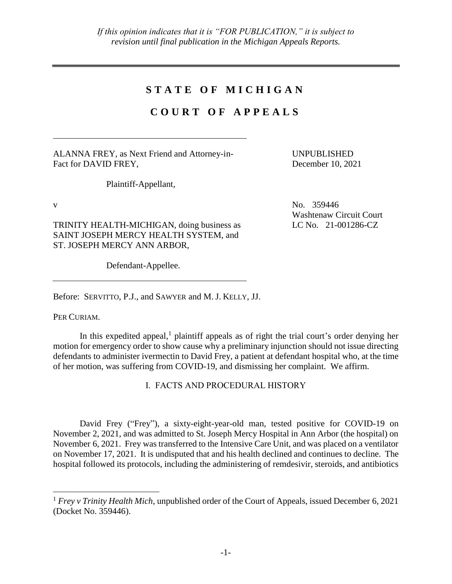# **S T A T E O F M I C H I G A N**

# **C O U R T O F A P P E A L S**

ALANNA FREY, as Next Friend and Attorney-in-Fact for DAVID FREY,

UNPUBLISHED December 10, 2021

Washtenaw Circuit Court

LC No. 21-001286-CZ

Plaintiff-Appellant,

 $V = N_0$ . 359446

TRINITY HEALTH-MICHIGAN, doing business as SAINT JOSEPH MERCY HEALTH SYSTEM, and ST. JOSEPH MERCY ANN ARBOR,

Defendant-Appellee.

Before: SERVITTO, P.J., and SAWYER and M. J. KELLY, JJ.

PER CURIAM.

 $\overline{a}$ 

In this expedited appeal, $<sup>1</sup>$  plaintiff appeals as of right the trial court's order denying her</sup> motion for emergency order to show cause why a preliminary injunction should not issue directing defendants to administer ivermectin to David Frey, a patient at defendant hospital who, at the time of her motion, was suffering from COVID-19, and dismissing her complaint. We affirm.

I. FACTS AND PROCEDURAL HISTORY

David Frey ("Frey"), a sixty-eight-year-old man, tested positive for COVID-19 on November 2, 2021, and was admitted to St. Joseph Mercy Hospital in Ann Arbor (the hospital) on November 6, 2021. Frey was transferred to the Intensive Care Unit, and was placed on a ventilator on November 17, 2021. It is undisputed that and his health declined and continues to decline. The hospital followed its protocols, including the administering of remdesivir, steroids, and antibiotics

<sup>1</sup> *Frey v Trinity Health Mich*, unpublished order of the Court of Appeals, issued December 6, 2021 (Docket No. 359446).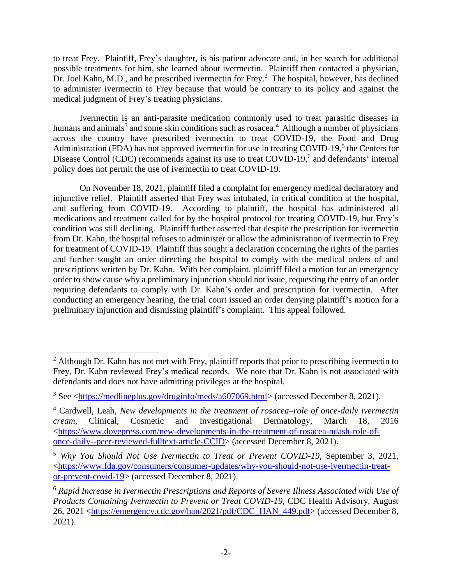to treat Frey. Plaintiff, Frey's daughter, is his patient advocate and, in her search for additional possible treatments for him, she learned about ivermectin. Plaintiff then contacted a physician, Dr. Joel Kahn, M.D., and he prescribed ivermectin for Frey.<sup>2</sup> The hospital, however, has declined to administer ivermectin to Frey because that would be contrary to its policy and against the medical judgment of Frey's treating physicians.

Ivermectin is an anti-parasite medication commonly used to treat parasitic diseases in humans and animals<sup>3</sup> and some skin conditions such as rosacea.<sup>4</sup> Although a number of physicians across the country have prescribed ivermectin to treat COVID-19, the Food and Drug Administration (FDA) has not approved ivermectin for use in treating COVID-19,<sup>5</sup> the Centers for Disease Control (CDC) recommends against its use to treat COVID-19,<sup>6</sup> and defendants' internal policy does not permit the use of ivermectin to treat COVID-19.

On November 18, 2021, plaintiff filed a complaint for emergency medical declaratory and injunctive relief. Plaintiff asserted that Frey was intubated, in critical condition at the hospital, and suffering from COVID-19. According to plaintiff, the hospital has administered all medications and treatment called for by the hospital protocol for treating COVID-19, but Frey's condition was still declining. Plaintiff further asserted that despite the prescription for ivermectin from Dr. Kahn, the hospital refuses to administer or allow the administration of ivermectin to Frey for treatment of COVID-19. Plaintiff thus sought a declaration concerning the rights of the parties and further sought an order directing the hospital to comply with the medical orders of and prescriptions written by Dr. Kahn. With her complaint, plaintiff filed a motion for an emergency order to show cause why a preliminary injunction should not issue, requesting the entry of an order requiring defendants to comply with Dr. Kahn's order and prescription for ivermectin. After conducting an emergency hearing, the trial court issued an order denying plaintiff's motion for a preliminary injunction and dismissing plaintiff's complaint. This appeal followed.

 $\overline{a}$ 

 $2$  Although Dr. Kahn has not met with Frey, plaintiff reports that prior to prescribing ivermectin to Frey, Dr. Kahn reviewed Frey's medical records. We note that Dr. Kahn is not associated with defendants and does not have admitting privileges at the hospital.

<sup>3</sup> See [<https://medlineplus.gov/druginfo/meds/a607069.html>](https://medlineplus.gov/druginfo/meds/a607069.html) (accessed December 8, 2021).

<sup>4</sup> Cardwell, Leah, *New developments in the treatment of rosacea–role of once-daily ivermectin cream,* Clinical, Cosmetic and Investigational Dermatology, March 18, 2016 [<https://www.dovepress.com/new-developments-in-the-treatment-of-rosacea-ndash-role-of](https://www.dovepress.com/new-developments-in-the-treatment-of-rosacea-ndash-role-of-once-daily--peer-reviewed-fulltext-article-CCID)[once-daily--peer-reviewed-fulltext-article-CCID>](https://www.dovepress.com/new-developments-in-the-treatment-of-rosacea-ndash-role-of-once-daily--peer-reviewed-fulltext-article-CCID) (accessed December 8, 2021).

<sup>5</sup> *Why You Should Not Use Ivermectin to Treat or Prevent COVID-19,* September 3, 2021, [<https://www.fda.gov/consumers/consumer-updates/why-you-should-not-use-ivermectin-treat](https://www.fda.gov/consumers/consumer-updates/why-you-should-not-use-ivermectin-treat-or-prevent-covid-19)[or-prevent-covid-19>](https://www.fda.gov/consumers/consumer-updates/why-you-should-not-use-ivermectin-treat-or-prevent-covid-19) (accessed December 8, 2021).

<sup>6</sup> *Rapid Increase in Ivermectin Prescriptions and Reports of Severe Illness Associated with Use of Products Containing Ivermectin to Prevent or Treat COVID-19*, CDC Health Advisory, August 26, 2021 [<https://emergency.cdc.gov/han/2021/pdf/CDC\\_HAN\\_449.pdf>](https://emergency.cdc.gov/han/2021/pdf/CDC_HAN_449.pdf) (accessed December 8, 2021).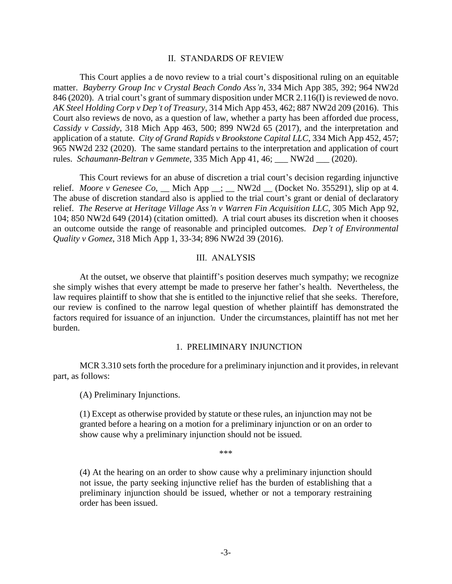#### II. STANDARDS OF REVIEW

This Court applies a de novo review to a trial court's dispositional ruling on an equitable matter. *Bayberry Group Inc v Crystal Beach Condo Ass'n*, 334 Mich App 385, 392; 964 NW2d 846 (2020). A trial court's grant of summary disposition under MCR 2.116(I) is reviewed de novo. *AK Steel Holding Corp v Dep't of Treasury*, 314 Mich App 453, 462; 887 NW2d 209 (2016). This Court also reviews de novo, as a question of law, whether a party has been afforded due process, *Cassidy v Cassidy*, 318 Mich App 463, 500; 899 NW2d 65 (2017), and the interpretation and application of a statute. *City of Grand Rapids v Brookstone Capital LLC*, 334 Mich App 452, 457; 965 NW2d 232 (2020). The same standard pertains to the interpretation and application of court rules. *Schaumann-Beltran v Gemmete*, 335 Mich App 41, 46; NW2d (2020).

This Court reviews for an abuse of discretion a trial court's decision regarding injunctive relief. *Moore v Genesee Co*, Mich App : NW2d (Docket No. 355291), slip op at 4. The abuse of discretion standard also is applied to the trial court's grant or denial of declaratory relief. *The Reserve at Heritage Village Ass'n v Warren Fin Acquisition LLC*, 305 Mich App 92, 104; 850 NW2d 649 (2014) (citation omitted). A trial court abuses its discretion when it chooses an outcome outside the range of reasonable and principled outcomes*. Dep't of Environmental Quality v Gomez*, 318 Mich App 1, 33-34; 896 NW2d 39 (2016).

### III. ANALYSIS

At the outset, we observe that plaintiff's position deserves much sympathy; we recognize she simply wishes that every attempt be made to preserve her father's health. Nevertheless, the law requires plaintiff to show that she is entitled to the injunctive relief that she seeks. Therefore, our review is confined to the narrow legal question of whether plaintiff has demonstrated the factors required for issuance of an injunction. Under the circumstances, plaintiff has not met her burden.

### 1. PRELIMINARY INJUNCTION

MCR 3.310 sets forth the procedure for a preliminary injunction and it provides, in relevant part, as follows:

(A) Preliminary Injunctions.

(1) Except as otherwise provided by statute or these rules, an injunction may not be granted before a hearing on a motion for a preliminary injunction or on an order to show cause why a preliminary injunction should not be issued.

\*\*\*

(4) At the hearing on an order to show cause why a preliminary injunction should not issue, the party seeking injunctive relief has the burden of establishing that a preliminary injunction should be issued, whether or not a temporary restraining order has been issued.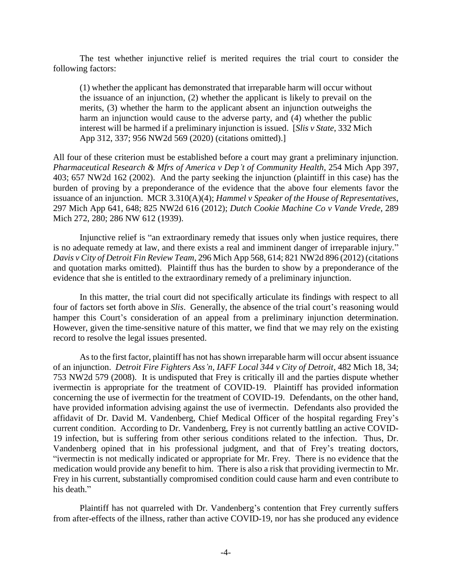The test whether injunctive relief is merited requires the trial court to consider the following factors:

(1) whether the applicant has demonstrated that irreparable harm will occur without the issuance of an injunction, (2) whether the applicant is likely to prevail on the merits, (3) whether the harm to the applicant absent an injunction outweighs the harm an injunction would cause to the adverse party, and (4) whether the public interest will be harmed if a preliminary injunction is issued. [*Slis v State*, 332 Mich App 312, 337; 956 NW2d 569 (2020) (citations omitted).]

All four of these criterion must be established before a court may grant a preliminary injunction. *Pharmaceutical Research & Mfrs of America v Dep't of Community Health*, 254 Mich App 397, 403; 657 NW2d 162 (2002). And the party seeking the injunction (plaintiff in this case) has the burden of proving by a preponderance of the evidence that the above four elements favor the issuance of an injunction. MCR 3.310(A)(4); *Hammel v Speaker of the House of Representatives*, 297 Mich App 641, 648; 825 NW2d 616 (2012); *Dutch Cookie Machine Co v Vande Vrede*, 289 Mich 272, 280; 286 NW 612 (1939).

Injunctive relief is "an extraordinary remedy that issues only when justice requires, there is no adequate remedy at law, and there exists a real and imminent danger of irreparable injury." *Davis v City of Detroit Fin Review Team*, 296 Mich App 568, 614; 821 NW2d 896 (2012) (citations and quotation marks omitted). Plaintiff thus has the burden to show by a preponderance of the evidence that she is entitled to the extraordinary remedy of a preliminary injunction.

In this matter, the trial court did not specifically articulate its findings with respect to all four of factors set forth above in *Slis*. Generally, the absence of the trial court's reasoning would hamper this Court's consideration of an appeal from a preliminary injunction determination. However, given the time-sensitive nature of this matter, we find that we may rely on the existing record to resolve the legal issues presented.

As to the first factor, plaintiff has not has shown irreparable harm will occur absent issuance of an injunction. *Detroit Fire Fighters Ass'n, IAFF Local 344 v City of Detroit*, 482 Mich 18, 34; 753 NW2d 579 (2008). It is undisputed that Frey is critically ill and the parties dispute whether ivermectin is appropriate for the treatment of COVID-19. Plaintiff has provided information concerning the use of ivermectin for the treatment of COVID-19. Defendants, on the other hand, have provided information advising against the use of ivermectin. Defendants also provided the affidavit of Dr. David M. Vandenberg, Chief Medical Officer of the hospital regarding Frey's current condition. According to Dr. Vandenberg, Frey is not currently battling an active COVID-19 infection, but is suffering from other serious conditions related to the infection. Thus, Dr. Vandenberg opined that in his professional judgment, and that of Frey's treating doctors, "ivermectin is not medically indicated or appropriate for Mr. Frey. There is no evidence that the medication would provide any benefit to him. There is also a risk that providing ivermectin to Mr. Frey in his current, substantially compromised condition could cause harm and even contribute to his death."

Plaintiff has not quarreled with Dr. Vandenberg's contention that Frey currently suffers from after-effects of the illness, rather than active COVID-19, nor has she produced any evidence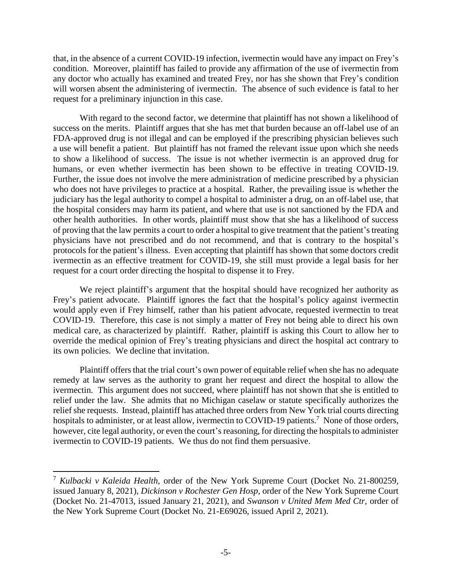that, in the absence of a current COVID-19 infection, ivermectin would have any impact on Frey's condition. Moreover, plaintiff has failed to provide any affirmation of the use of ivermectin from any doctor who actually has examined and treated Frey, nor has she shown that Frey's condition will worsen absent the administering of ivermectin. The absence of such evidence is fatal to her request for a preliminary injunction in this case.

With regard to the second factor, we determine that plaintiff has not shown a likelihood of success on the merits. Plaintiff argues that she has met that burden because an off-label use of an FDA-approved drug is not illegal and can be employed if the prescribing physician believes such a use will benefit a patient. But plaintiff has not framed the relevant issue upon which she needs to show a likelihood of success. The issue is not whether ivermectin is an approved drug for humans, or even whether ivermectin has been shown to be effective in treating COVID-19. Further, the issue does not involve the mere administration of medicine prescribed by a physician who does not have privileges to practice at a hospital. Rather, the prevailing issue is whether the judiciary has the legal authority to compel a hospital to administer a drug, on an off-label use, that the hospital considers may harm its patient, and where that use is not sanctioned by the FDA and other health authorities. In other words, plaintiff must show that she has a likelihood of success of proving that the law permits a court to order a hospital to give treatment that the patient's treating physicians have not prescribed and do not recommend, and that is contrary to the hospital's protocols for the patient's illness. Even accepting that plaintiff has shown that some doctors credit ivermectin as an effective treatment for COVID-19, she still must provide a legal basis for her request for a court order directing the hospital to dispense it to Frey.

We reject plaintiff's argument that the hospital should have recognized her authority as Frey's patient advocate. Plaintiff ignores the fact that the hospital's policy against ivermectin would apply even if Frey himself, rather than his patient advocate, requested ivermectin to treat COVID-19. Therefore, this case is not simply a matter of Frey not being able to direct his own medical care, as characterized by plaintiff. Rather, plaintiff is asking this Court to allow her to override the medical opinion of Frey's treating physicians and direct the hospital act contrary to its own policies. We decline that invitation.

Plaintiff offers that the trial court's own power of equitable relief when she has no adequate remedy at law serves as the authority to grant her request and direct the hospital to allow the ivermectin. This argument does not succeed, where plaintiff has not shown that she is entitled to relief under the law. She admits that no Michigan caselaw or statute specifically authorizes the relief she requests. Instead, plaintiff has attached three orders from New York trial courts directing hospitals to administer, or at least allow, ivermectin to COVID-19 patients.<sup>7</sup> None of those orders, however, cite legal authority, or even the court's reasoning, for directing the hospitals to administer ivermectin to COVID-19 patients. We thus do not find them persuasive.

 $\overline{a}$ 

<sup>7</sup> *Kulbacki v Kaleida Health,* order of the New York Supreme Court (Docket No. 21-800259, issued January 8, 2021), *Dickinson v Rochester Gen Hosp,* order of the New York Supreme Court (Docket No. 21-47013, issued January 21, 2021), and *Swanson v United Mem Med Ctr,* order of the New York Supreme Court (Docket No. 21-E69026, issued April 2, 2021).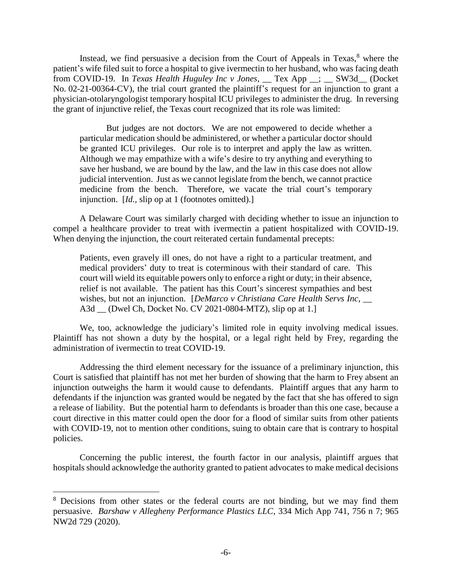Instead, we find persuasive a decision from the Court of Appeals in Texas, $8$  where the patient's wife filed suit to force a hospital to give ivermectin to her husband, who was facing death from COVID-19. In *Texas Health Huguley Inc v Jones*, \_\_ Tex App \_\_; \_\_ SW3d\_\_ (Docket No. 02-21-00364-CV), the trial court granted the plaintiff's request for an injunction to grant a physician-otolaryngologist temporary hospital ICU privileges to administer the drug. In reversing the grant of injunctive relief, the Texas court recognized that its role was limited:

But judges are not doctors. We are not empowered to decide whether a particular medication should be administered, or whether a particular doctor should be granted ICU privileges. Our role is to interpret and apply the law as written. Although we may empathize with a wife's desire to try anything and everything to save her husband, we are bound by the law, and the law in this case does not allow judicial intervention. Just as we cannot legislate from the bench, we cannot practice medicine from the bench. Therefore, we vacate the trial court's temporary injunction. [*Id.,* slip op at 1 (footnotes omitted).]

A Delaware Court was similarly charged with deciding whether to issue an injunction to compel a healthcare provider to treat with ivermectin a patient hospitalized with COVID-19. When denying the injunction, the court reiterated certain fundamental precepts:

Patients, even gravely ill ones, do not have a right to a particular treatment, and medical providers' duty to treat is coterminous with their standard of care. This court will wield its equitable powers only to enforce a right or duty; in their absence, relief is not available. The patient has this Court's sincerest sympathies and best wishes, but not an injunction. [*DeMarco v Christiana Care Health Servs Inc*, \_\_ A3d \_\_ (Dwel Ch, Docket No. CV 2021-0804-MTZ), slip op at 1.]

We, too, acknowledge the judiciary's limited role in equity involving medical issues. Plaintiff has not shown a duty by the hospital, or a legal right held by Frey, regarding the administration of ivermectin to treat COVID-19.

Addressing the third element necessary for the issuance of a preliminary injunction, this Court is satisfied that plaintiff has not met her burden of showing that the harm to Frey absent an injunction outweighs the harm it would cause to defendants. Plaintiff argues that any harm to defendants if the injunction was granted would be negated by the fact that she has offered to sign a release of liability. But the potential harm to defendants is broader than this one case, because a court directive in this matter could open the door for a flood of similar suits from other patients with COVID-19, not to mention other conditions, suing to obtain care that is contrary to hospital policies.

Concerning the public interest, the fourth factor in our analysis, plaintiff argues that hospitals should acknowledge the authority granted to patient advocates to make medical decisions

 $\overline{a}$ 

<sup>&</sup>lt;sup>8</sup> Decisions from other states or the federal courts are not binding, but we may find them persuasive. *Barshaw v Allegheny Performance Plastics LLC*, 334 Mich App 741, 756 n 7; 965 NW2d 729 (2020).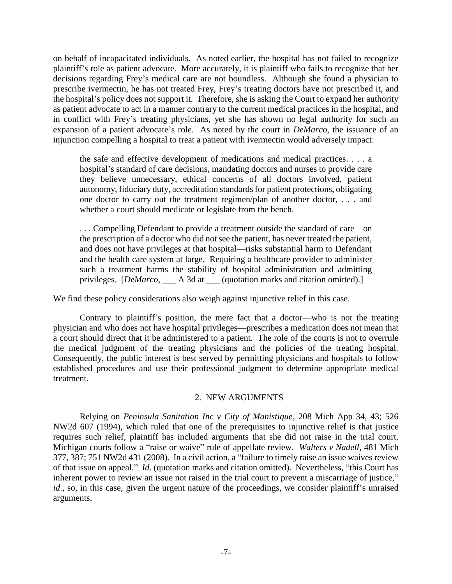on behalf of incapacitated individuals. As noted earlier, the hospital has not failed to recognize plaintiff's role as patient advocate. More accurately, it is plaintiff who fails to recognize that her decisions regarding Frey's medical care are not boundless. Although she found a physician to prescribe ivermectin, he has not treated Frey, Frey's treating doctors have not prescribed it, and the hospital's policy does not support it. Therefore, she is asking the Court to expand her authority as patient advocate to act in a manner contrary to the current medical practices in the hospital, and in conflict with Frey's treating physicians, yet she has shown no legal authority for such an expansion of a patient advocate's role. As noted by the court in *DeMarco*, the issuance of an injunction compelling a hospital to treat a patient with ivermectin would adversely impact:

the safe and effective development of medications and medical practices. . . . a hospital's standard of care decisions, mandating doctors and nurses to provide care they believe unnecessary, ethical concerns of all doctors involved, patient autonomy, fiduciary duty, accreditation standards for patient protections, obligating one doctor to carry out the treatment regimen/plan of another doctor, . . . and whether a court should medicate or legislate from the bench.

. . . Compelling Defendant to provide a treatment outside the standard of care—on the prescription of a doctor who did not see the patient, has never treated the patient, and does not have privileges at that hospital—risks substantial harm to Defendant and the health care system at large. Requiring a healthcare provider to administer such a treatment harms the stability of hospital administration and admitting privileges. [*DeMarco*, \_\_\_ A 3d at \_\_\_ (quotation marks and citation omitted).]

We find these policy considerations also weigh against injunctive relief in this case.

Contrary to plaintiff's position, the mere fact that a doctor—who is not the treating physician and who does not have hospital privileges—prescribes a medication does not mean that a court should direct that it be administered to a patient. The role of the courts is not to overrule the medical judgment of the treating physicians and the policies of the treating hospital. Consequently, the public interest is best served by permitting physicians and hospitals to follow established procedures and use their professional judgment to determine appropriate medical treatment.

## 2. NEW ARGUMENTS

Relying on *Peninsula Sanitation Inc v City of Manistique*, 208 Mich App 34, 43; 526 NW2d 607 (1994), which ruled that one of the prerequisites to injunctive relief is that justice requires such relief, plaintiff has included arguments that she did not raise in the trial court. Michigan courts follow a "raise or waive" rule of appellate review. *Walters v Nadell*, 481 Mich 377, 387; 751 NW2d 431 (2008). In a civil action, a "failure to timely raise an issue waives review of that issue on appeal." *Id*. (quotation marks and citation omitted). Nevertheless, "this Court has inherent power to review an issue not raised in the trial court to prevent a miscarriage of justice," *id.*, so, in this case, given the urgent nature of the proceedings, we consider plaintiff's unraised arguments.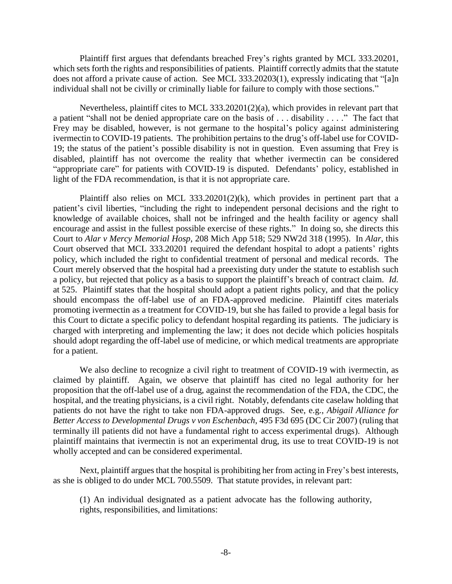Plaintiff first argues that defendants breached Frey's rights granted by MCL 333.20201, which sets forth the rights and responsibilities of patients. Plaintiff correctly admits that the statute does not afford a private cause of action. See MCL 333.20203(1), expressly indicating that "[a]n individual shall not be civilly or criminally liable for failure to comply with those sections."

Nevertheless, plaintiff cites to MCL 333.20201(2)(a), which provides in relevant part that a patient "shall not be denied appropriate care on the basis of . . . disability . . . ." The fact that Frey may be disabled, however, is not germane to the hospital's policy against administering ivermectin to COVID-19 patients. The prohibition pertains to the drug's off-label use for COVID-19; the status of the patient's possible disability is not in question. Even assuming that Frey is disabled, plaintiff has not overcome the reality that whether ivermectin can be considered "appropriate care" for patients with COVID-19 is disputed. Defendants' policy, established in light of the FDA recommendation, is that it is not appropriate care.

Plaintiff also relies on MCL 333.20201(2)(k), which provides in pertinent part that a patient's civil liberties, "including the right to independent personal decisions and the right to knowledge of available choices, shall not be infringed and the health facility or agency shall encourage and assist in the fullest possible exercise of these rights." In doing so, she directs this Court to *Alar v Mercy Memorial Hosp*, 208 Mich App 518; 529 NW2d 318 (1995). In *Alar*, this Court observed that MCL 333.20201 required the defendant hospital to adopt a patients' rights policy, which included the right to confidential treatment of personal and medical records. The Court merely observed that the hospital had a preexisting duty under the statute to establish such a policy, but rejected that policy as a basis to support the plaintiff's breach of contract claim. *Id.* at 525. Plaintiff states that the hospital should adopt a patient rights policy, and that the policy should encompass the off-label use of an FDA-approved medicine. Plaintiff cites materials promoting ivermectin as a treatment for COVID-19, but she has failed to provide a legal basis for this Court to dictate a specific policy to defendant hospital regarding its patients. The judiciary is charged with interpreting and implementing the law; it does not decide which policies hospitals should adopt regarding the off-label use of medicine, or which medical treatments are appropriate for a patient.

We also decline to recognize a civil right to treatment of COVID-19 with ivermectin, as claimed by plaintiff. Again, we observe that plaintiff has cited no legal authority for her proposition that the off-label use of a drug, against the recommendation of the FDA, the CDC, the hospital, and the treating physicians, is a civil right. Notably, defendants cite caselaw holding that patients do not have the right to take non FDA-approved drugs. See, e.g., *Abigail Alliance for Better Access to Developmental Drugs v von Eschenbach*, 495 F3d 695 (DC Cir 2007) (ruling that terminally ill patients did not have a fundamental right to access experimental drugs). Although plaintiff maintains that ivermectin is not an experimental drug, its use to treat COVID-19 is not wholly accepted and can be considered experimental.

Next, plaintiff argues that the hospital is prohibiting her from acting in Frey's best interests, as she is obliged to do under MCL 700.5509. That statute provides, in relevant part:

(1) An individual designated as a patient advocate has the following authority, rights, responsibilities, and limitations: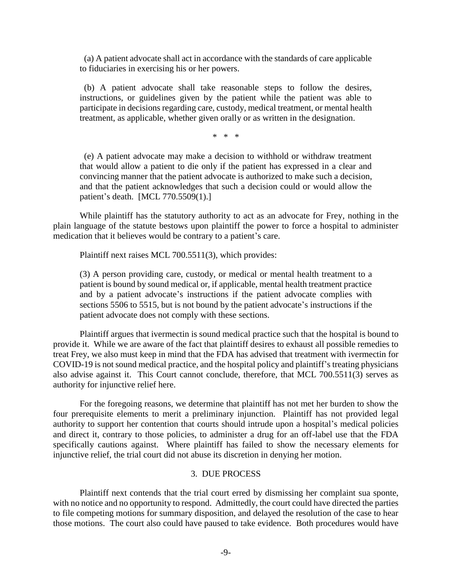(a) A patient advocate shall act in accordance with the standards of care applicable to fiduciaries in exercising his or her powers.

 (b) A patient advocate shall take reasonable steps to follow the desires, instructions, or guidelines given by the patient while the patient was able to participate in decisions regarding care, custody, medical treatment, or mental health treatment, as applicable, whether given orally or as written in the designation.

\* \* \*

 (e) A patient advocate may make a decision to withhold or withdraw treatment that would allow a patient to die only if the patient has expressed in a clear and convincing manner that the patient advocate is authorized to make such a decision, and that the patient acknowledges that such a decision could or would allow the patient's death. [MCL 770.5509(1).]

While plaintiff has the statutory authority to act as an advocate for Frey, nothing in the plain language of the statute bestows upon plaintiff the power to force a hospital to administer medication that it believes would be contrary to a patient's care.

Plaintiff next raises MCL 700.5511(3), which provides:

(3) A person providing care, custody, or medical or mental health treatment to a patient is bound by sound medical or, if applicable, mental health treatment practice and by a patient advocate's instructions if the patient advocate complies with sections 5506 to 5515, but is not bound by the patient advocate's instructions if the patient advocate does not comply with these sections.

Plaintiff argues that ivermectin is sound medical practice such that the hospital is bound to provide it. While we are aware of the fact that plaintiff desires to exhaust all possible remedies to treat Frey, we also must keep in mind that the FDA has advised that treatment with ivermectin for COVID-19 is not sound medical practice, and the hospital policy and plaintiff's treating physicians also advise against it. This Court cannot conclude, therefore, that MCL 700.5511(3) serves as authority for injunctive relief here.

For the foregoing reasons, we determine that plaintiff has not met her burden to show the four prerequisite elements to merit a preliminary injunction. Plaintiff has not provided legal authority to support her contention that courts should intrude upon a hospital's medical policies and direct it, contrary to those policies, to administer a drug for an off-label use that the FDA specifically cautions against. Where plaintiff has failed to show the necessary elements for injunctive relief, the trial court did not abuse its discretion in denying her motion.

## 3. DUE PROCESS

Plaintiff next contends that the trial court erred by dismissing her complaint sua sponte, with no notice and no opportunity to respond. Admittedly, the court could have directed the parties to file competing motions for summary disposition, and delayed the resolution of the case to hear those motions. The court also could have paused to take evidence. Both procedures would have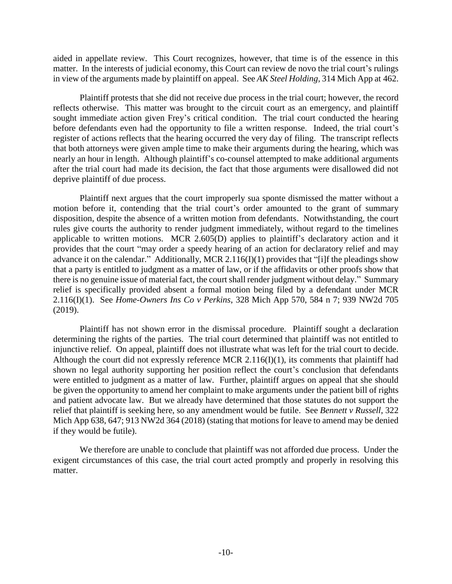aided in appellate review. This Court recognizes, however, that time is of the essence in this matter. In the interests of judicial economy, this Court can review de novo the trial court's rulings in view of the arguments made by plaintiff on appeal. See *AK Steel Holding*, 314 Mich App at 462.

Plaintiff protests that she did not receive due process in the trial court; however, the record reflects otherwise. This matter was brought to the circuit court as an emergency, and plaintiff sought immediate action given Frey's critical condition. The trial court conducted the hearing before defendants even had the opportunity to file a written response. Indeed, the trial court's register of actions reflects that the hearing occurred the very day of filing. The transcript reflects that both attorneys were given ample time to make their arguments during the hearing, which was nearly an hour in length. Although plaintiff's co-counsel attempted to make additional arguments after the trial court had made its decision, the fact that those arguments were disallowed did not deprive plaintiff of due process.

Plaintiff next argues that the court improperly sua sponte dismissed the matter without a motion before it, contending that the trial court's order amounted to the grant of summary disposition, despite the absence of a written motion from defendants. Notwithstanding, the court rules give courts the authority to render judgment immediately, without regard to the timelines applicable to written motions. MCR 2.605(D) applies to plaintiff's declaratory action and it provides that the court "may order a speedy hearing of an action for declaratory relief and may advance it on the calendar." Additionally, MCR 2.116(I)(1) provides that "[i]f the pleadings show that a party is entitled to judgment as a matter of law, or if the affidavits or other proofs show that there is no genuine issue of material fact, the court shall render judgment without delay." Summary relief is specifically provided absent a formal motion being filed by a defendant under MCR 2.116(I)(1). See *Home-Owners Ins Co v Perkins*, 328 Mich App 570, 584 n 7; 939 NW2d 705 (2019).

Plaintiff has not shown error in the dismissal procedure. Plaintiff sought a declaration determining the rights of the parties. The trial court determined that plaintiff was not entitled to injunctive relief. On appeal, plaintiff does not illustrate what was left for the trial court to decide. Although the court did not expressly reference MCR 2.116(I)(1), its comments that plaintiff had shown no legal authority supporting her position reflect the court's conclusion that defendants were entitled to judgment as a matter of law. Further, plaintiff argues on appeal that she should be given the opportunity to amend her complaint to make arguments under the patient bill of rights and patient advocate law. But we already have determined that those statutes do not support the relief that plaintiff is seeking here, so any amendment would be futile. See *Bennett v Russell*, 322 Mich App 638, 647; 913 NW2d 364 (2018) (stating that motions for leave to amend may be denied if they would be futile).

We therefore are unable to conclude that plaintiff was not afforded due process. Under the exigent circumstances of this case, the trial court acted promptly and properly in resolving this matter.